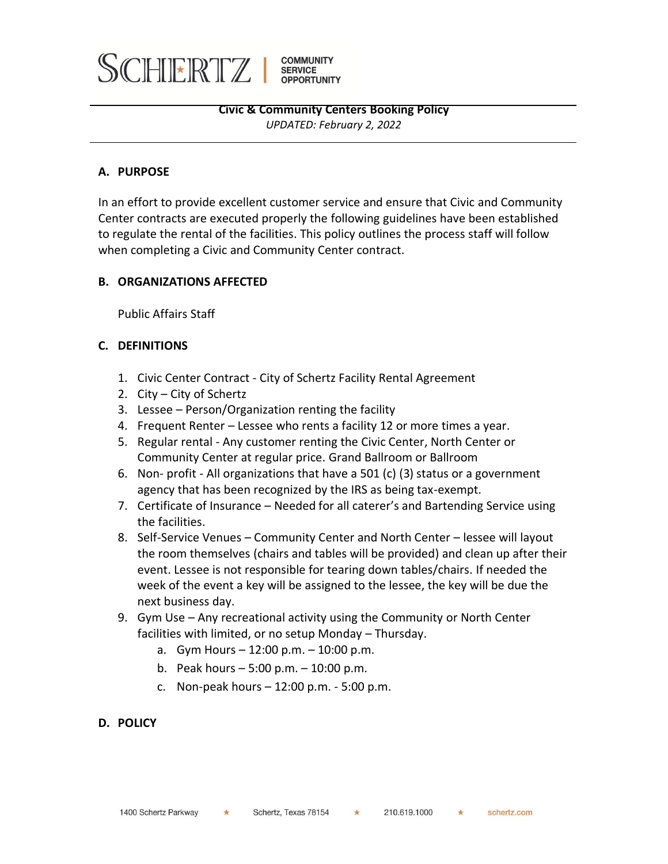

## **A. PURPOSE**

In an effort to provide excellent customer service and ensure that Civic and Community Center contracts are executed properly the following guidelines have been established to regulate the rental of the facilities. This policy outlines the process staff will follow when completing a Civic and Community Center contract.

## **B. ORGANIZATIONS AFFECTED**

Public Affairs Staff

## **C. DEFINITIONS**

- 1. Civic Center Contract City of Schertz Facility Rental Agreement
- 2. City City of Schertz
- 3. Lessee Person/Organization renting the facility
- 4. Frequent Renter Lessee who rents a facility 12 or more times a year.
- 5. Regular rental Any customer renting the Civic Center, North Center or Community Center at regular price. Grand Ballroom or Ballroom
- 6. Non- profit All organizations that have a 501 (c) (3) status or a government agency that has been recognized by the IRS as being tax-exempt.
- 7. Certificate of Insurance Needed for all caterer's and Bartending Service using the facilities.
- 8. Self-Service Venues Community Center and North Center lessee will layout the room themselves (chairs and tables will be provided) and clean up after their event. Lessee is not responsible for tearing down tables/chairs. If needed the week of the event a key will be assigned to the lessee, the key will be due the next business day.
- 9. Gym Use Any recreational activity using the Community or North Center facilities with limited, or no setup Monday – Thursday.
	- a. Gym Hours 12:00 p.m. 10:00 p.m.
	- b. Peak hours 5:00 p.m. 10:00 p.m.
	- c. Non-peak hours 12:00 p.m. 5:00 p.m.
- **D. POLICY**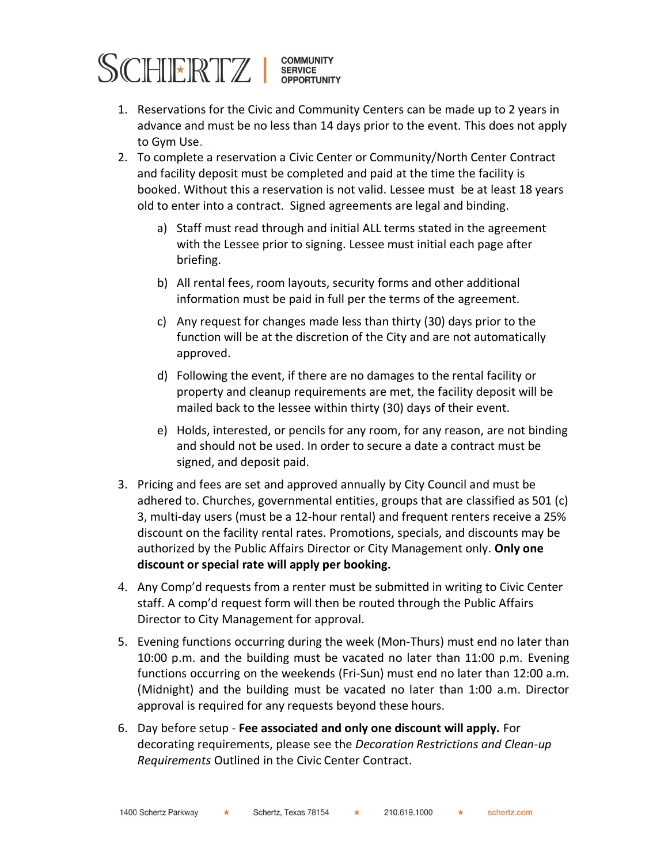

- 1. Reservations for the Civic and Community Centers can be made up to 2 years in advance and must be no less than 14 days prior to the event. This does not apply to Gym Use.
- 2. To complete a reservation a Civic Center or Community/North Center Contract and facility deposit must be completed and paid at the time the facility is booked. Without this a reservation is not valid. Lessee must be at least 18 years old to enter into a contract. Signed agreements are legal and binding.
	- a) Staff must read through and initial ALL terms stated in the agreement with the Lessee prior to signing. Lessee must initial each page after briefing.
	- b) All rental fees, room layouts, security forms and other additional information must be paid in full per the terms of the agreement.
	- c) Any request for changes made less than thirty (30) days prior to the function will be at the discretion of the City and are not automatically approved.
	- d) Following the event, if there are no damages to the rental facility or property and cleanup requirements are met, the facility deposit will be mailed back to the lessee within thirty (30) days of their event.
	- e) Holds, interested, or pencils for any room, for any reason, are not binding and should not be used. In order to secure a date a contract must be signed, and deposit paid.
- 3. Pricing and fees are set and approved annually by City Council and must be adhered to. Churches, governmental entities, groups that are classified as 501 (c) 3, multi-day users (must be a 12-hour rental) and frequent renters receive a 25% discount on the facility rental rates. Promotions, specials, and discounts may be authorized by the Public Affairs Director or City Management only. **Only one discount or special rate will apply per booking.**
- 4. Any Comp'd requests from a renter must be submitted in writing to Civic Center staff. A comp'd request form will then be routed through the Public Affairs Director to City Management for approval.
- 5. Evening functions occurring during the week (Mon-Thurs) must end no later than 10:00 p.m. and the building must be vacated no later than 11:00 p.m. Evening functions occurring on the weekends (Fri-Sun) must end no later than 12:00 a.m. (Midnight) and the building must be vacated no later than 1:00 a.m. Director approval is required for any requests beyond these hours.
- 6. Day before setup **Fee associated and only one discount will apply.** For decorating requirements, please see the *Decoration Restrictions and Clean-up Requirements* Outlined in the Civic Center Contract.